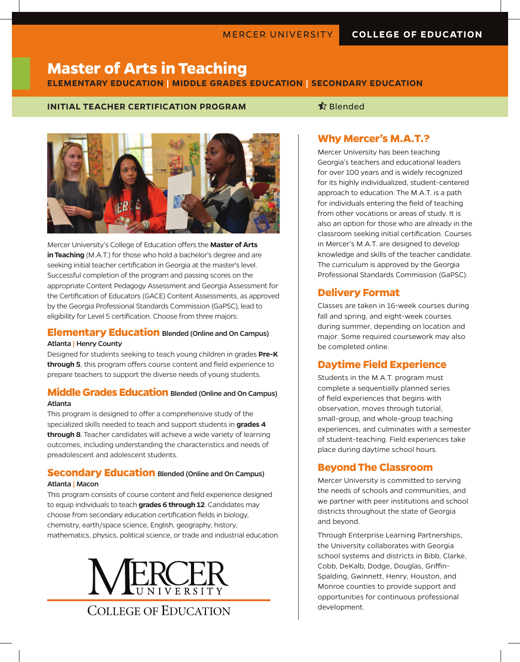# **Master of Arts in Teaching**

### **ELEMENTARY EDUCATION | MIDDLE GRADES EDUCATION | SECONDARY EDUCATION**

### **INITIAL TEACHER CERTIFICATION PROGRAM Blended**



Mercer University's College of Education offers the **Master of Arts in Teaching** (M.A.T.) for those who hold a bachelor's degree and are seeking initial teacher certification in Georgia at the master's level. Successful completion of the program and passing scores on the appropriate Content Pedagogy Assessment and Georgia Assessment for the Certification of Educators (GACE) Content Assessments, as approved by the Georgia Professional Standards Commission (GaPSC), lead to eligibility for Level 5 certification. Choose from three majors:

### **Elementary Education** Blended (Online and On Campus)

#### Atlanta | Henry County

Designed for students seeking to teach young children in grades **Pre-K through 5**, this program offers course content and field experience to prepare teachers to support the diverse needs of young students.

#### **Middle Grades Education** Blended (Online and On Campus) Atlanta

This program is designed to offer a comprehensive study of the specialized skills needed to teach and support students in **grades 4 through 8**. Teacher candidates will achieve a wide variety of learning outcomes, including understanding the characteristics and needs of preadolescent and adolescent students.

#### **Secondary Education** Blended (Online and On Campus) Atlanta | Macon

This program consists of course content and field experience designed to equip individuals to teach **grades 6 through 12**. Candidates may choose from secondary education certification fields in biology, chemistry, earth/space science, English, geography, history, mathematics, physics, political science, or trade and industrial education.



COLLEGE OF EDUCATION

### **Why Mercer's M.A.T.?**

Mercer University has been teaching Georgia's teachers and educational leaders for over 100 years and is widely recognized for its highly individualized, student-centered approach to education. The M.A.T. is a path for individuals entering the field of teaching from other vocations or areas of study. It is also an option for those who are already in the classroom seeking initial certification. Courses in Mercer's M.A.T. are designed to develop knowledge and skills of the teacher candidate. The curriculum is approved by the Georgia Professional Standards Commission (GaPSC).

# **Delivery Format**

Classes are taken in 16-week courses during fall and spring, and eight-week courses during summer, depending on location and major. Some required coursework may also be completed online.

# **Daytime Field Experience**

Students in the M.A.T. program must complete a sequentially planned series of field experiences that begins with observation, moves through tutorial, small-group, and whole-group teaching experiences, and culminates with a semester of student-teaching. Field experiences take place during daytime school hours.

### **Beyond The Classroom**

Mercer University is committed to serving the needs of schools and communities, and we partner with peer institutions and school districts throughout the state of Georgia and beyond.

Through Enterprise Learning Partnerships, the University collaborates with Georgia school systems and districts in Bibb, Clarke, Cobb, DeKalb, Dodge, Douglas, Griffin-Spalding, Gwinnett, Henry, Houston, and Monroe counties to provide support and opportunities for continuous professional development.